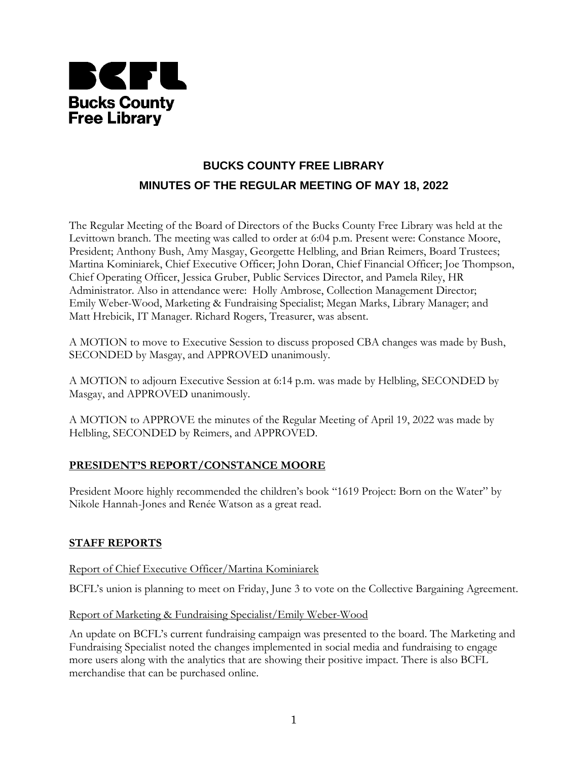

# **BUCKS COUNTY FREE LIBRARY MINUTES OF THE REGULAR MEETING OF MAY 18, 2022**

The Regular Meeting of the Board of Directors of the Bucks County Free Library was held at the Levittown branch. The meeting was called to order at 6:04 p.m. Present were: Constance Moore, President; Anthony Bush, Amy Masgay, Georgette Helbling, and Brian Reimers, Board Trustees; Martina Kominiarek, Chief Executive Officer; John Doran, Chief Financial Officer; Joe Thompson, Chief Operating Officer, Jessica Gruber, Public Services Director, and Pamela Riley, HR Administrator. Also in attendance were: Holly Ambrose, Collection Management Director; Emily Weber-Wood, Marketing & Fundraising Specialist; Megan Marks, Library Manager; and Matt Hrebicik, IT Manager. Richard Rogers, Treasurer, was absent.

A MOTION to move to Executive Session to discuss proposed CBA changes was made by Bush, SECONDED by Masgay, and APPROVED unanimously.

A MOTION to adjourn Executive Session at 6:14 p.m. was made by Helbling, SECONDED by Masgay, and APPROVED unanimously.

A MOTION to APPROVE the minutes of the Regular Meeting of April 19, 2022 was made by Helbling, SECONDED by Reimers, and APPROVED.

## **PRESIDENT'S REPORT/CONSTANCE MOORE**

President Moore highly recommended the children's book "1619 Project: Born on the Water" by Nikole Hannah-Jones and Renée Watson as a great read.

## **STAFF REPORTS**

Report of Chief Executive Officer/Martina Kominiarek

BCFL's union is planning to meet on Friday, June 3 to vote on the Collective Bargaining Agreement.

### Report of Marketing & Fundraising Specialist/Emily Weber-Wood

An update on BCFL's current fundraising campaign was presented to the board. The Marketing and Fundraising Specialist noted the changes implemented in social media and fundraising to engage more users along with the analytics that are showing their positive impact. There is also BCFL merchandise that can be purchased online.